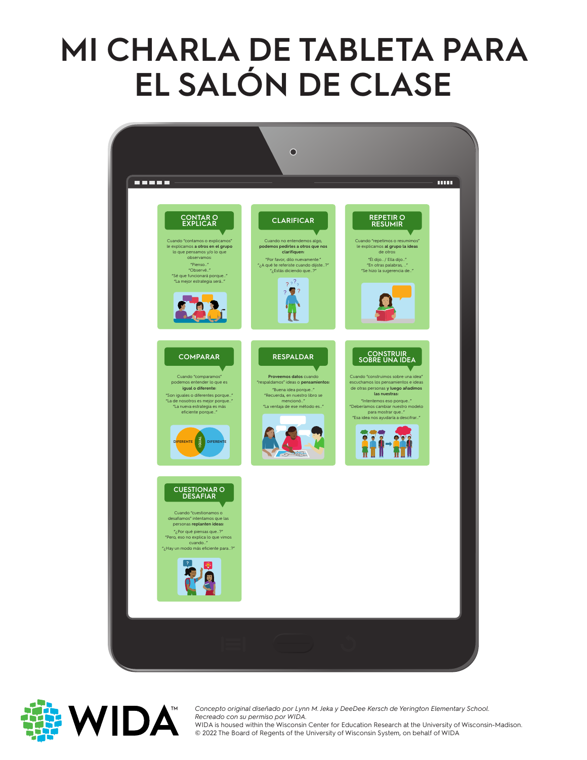## **MI CHARLA DE TABLETA PARA EL SALÓN DE CLASE**





Concepto original diseñado por Lyni<br>*Recreado con su permiso por WIDA*. *Concepto original diseñado por Lynn M. Jeka y DeeDee Kersch de Yerington Elementary School.*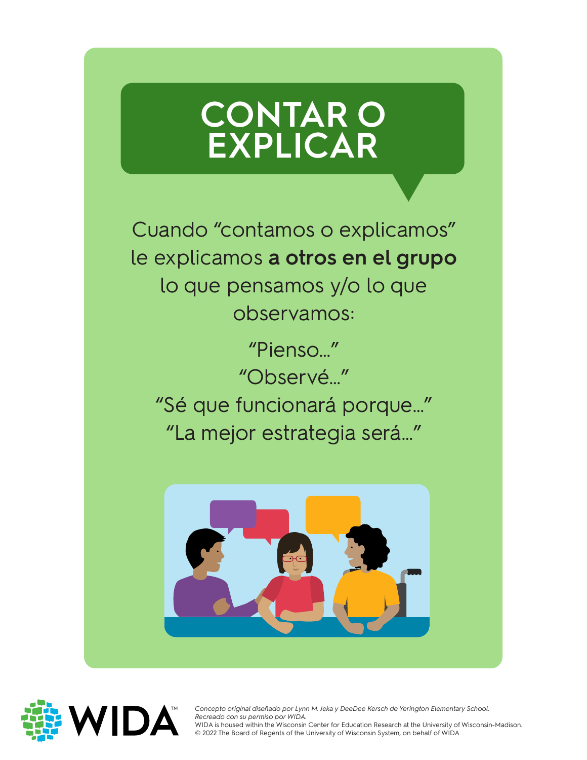#### **CONTAR O EXPLICAR**

Cuando "contamos o explicamos" le explicamos **a otros en el grupo**  lo que pensamos y/o lo que observamos:

"Pienso…" "Observé…" "Sé que funcionará porque…" "La mejor estrategia será…"





Concepto original diseñado por Lyni<br>*Recreado con su permiso por WIDA*. *Concepto original diseñado por Lynn M. Jeka y DeeDee Kersch de Yerington Elementary School.*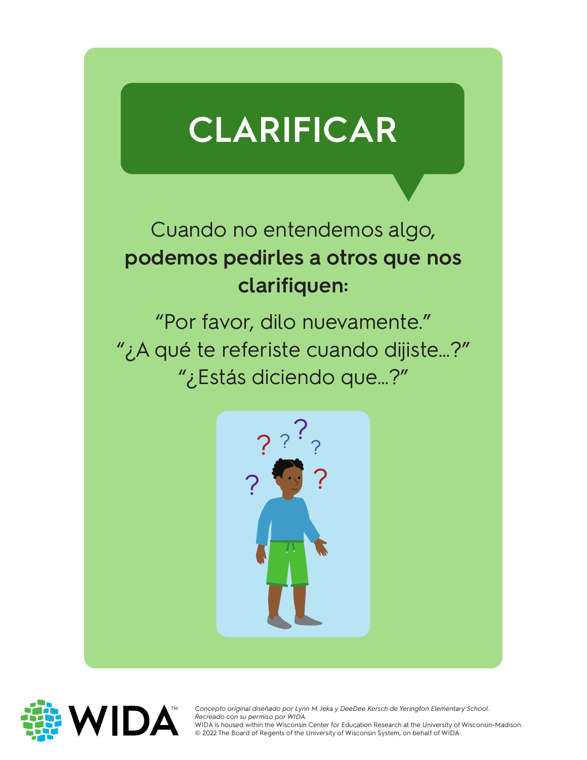# **CLARIFICAR**

#### Cuando no entendemos algo, **podemos pedirles a otros que nos clarifiquen:**

"Por favor, dilo nuevamente." "¿A qué te referiste cuando dijiste…?" "¿Estás diciendo que…?"





Concepto original diseñado por Lyni<br>*Recreado con su permiso por WIDA*. WIDA is housed within the Wisconsin Center for Education Research at the University of<br>© 2022 The Board of Regents of the University of Wisconsin System, on behalf of WIDA *Concepto original diseñado por Lynn M. Jeka y DeeDee Kersch de Yerington Elementary School.*  WIDA is housed within the Wisconsin Center for Education Research at the University of Wisconsin-Madison.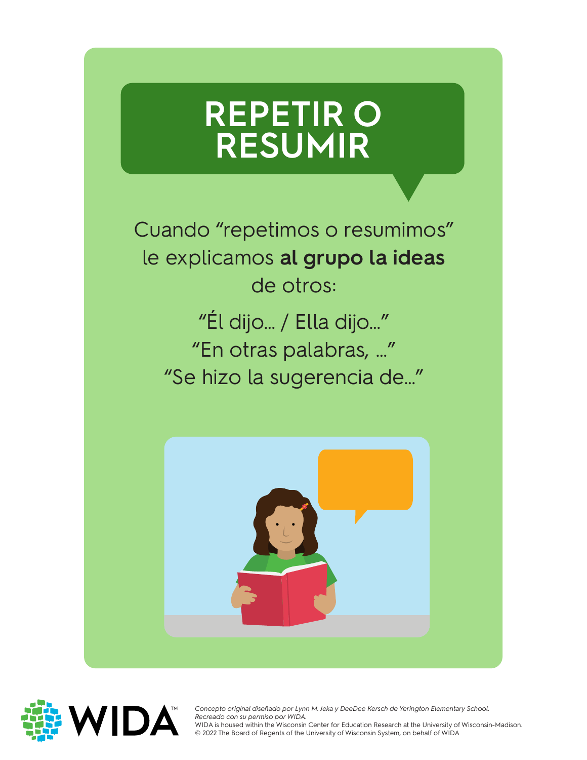### **REPETIR O RESUMIR**

Cuando "repetimos o resumimos" le explicamos **al grupo la ideas** de otros:

"Él dijo… / Ella dijo…" "En otras palabras, …" "Se hizo la sugerencia de…"





Concepto original diseñado por Lyni<br>*Recreado con su permiso por WIDA*. *Concepto original diseñado por Lynn M. Jeka y DeeDee Kersch de Yerington Elementary School.*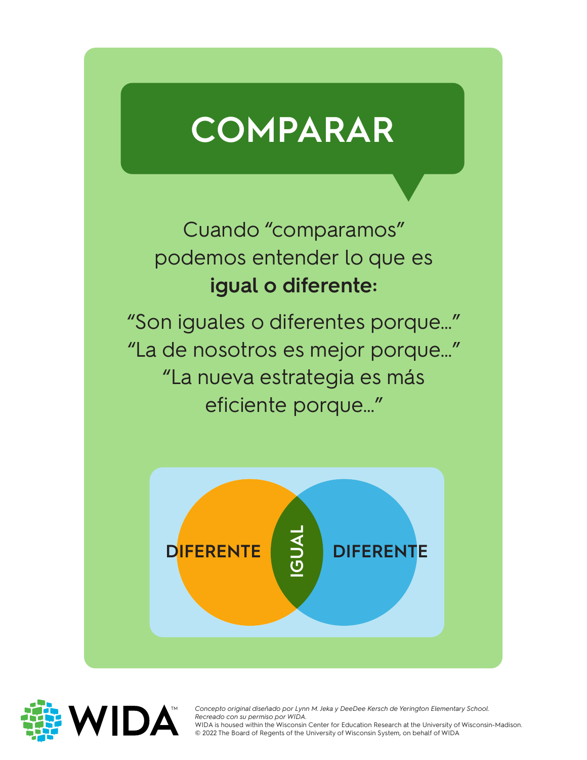# **COMPARAR**

Cuando "comparamos" podemos entender lo que es **igual o diferente:**

"Son iguales o diferentes porque…" "La de nosotros es mejor porque…" "La nueva estrategia es más eficiente porque…"





Concepto original diseñado por Lyni<br>*Recreado con su permiso por WIDA*. *Concepto original diseñado por Lynn M. Jeka y DeeDee Kersch de Yerington Elementary School.*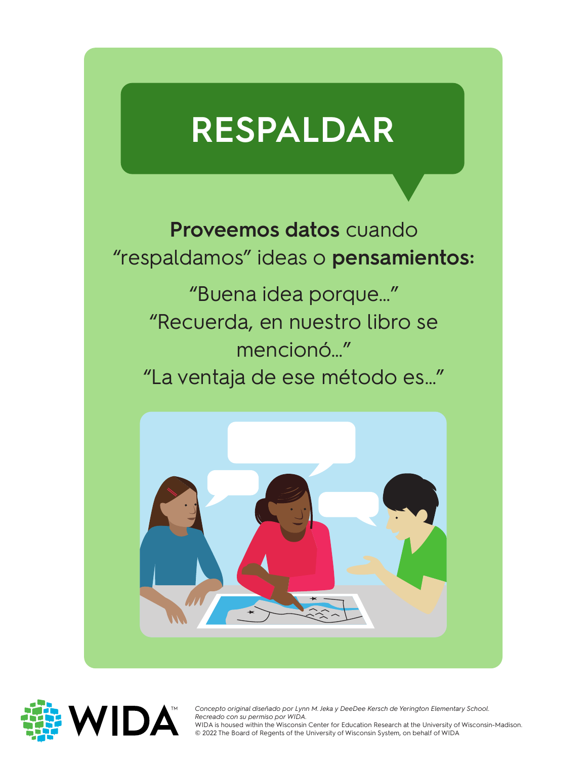# **RESPALDAR**

**Proveemos datos** cuando "respaldamos" ideas o **pensamientos:**

"Buena idea porque…" "Recuerda, en nuestro libro se mencionó…" "La ventaja de ese método es…"





Concepto original diseñado por Lynn M. Jeka y DeeDee Kersch de Yerington Elementary School.<br>Recreado con su permiso por WIDA. *Recreado con su permiso por WIDA.*

WIDA is housed within the Wisconsin Center for Education Research at the University of Wisconsin-Madison.<br>© 2022 The Board of Regents of the University of Wisconsin System, on behalf of WIDA © 2022 The Board of Regents of the University of Wisconsin System, on behalf of WIDA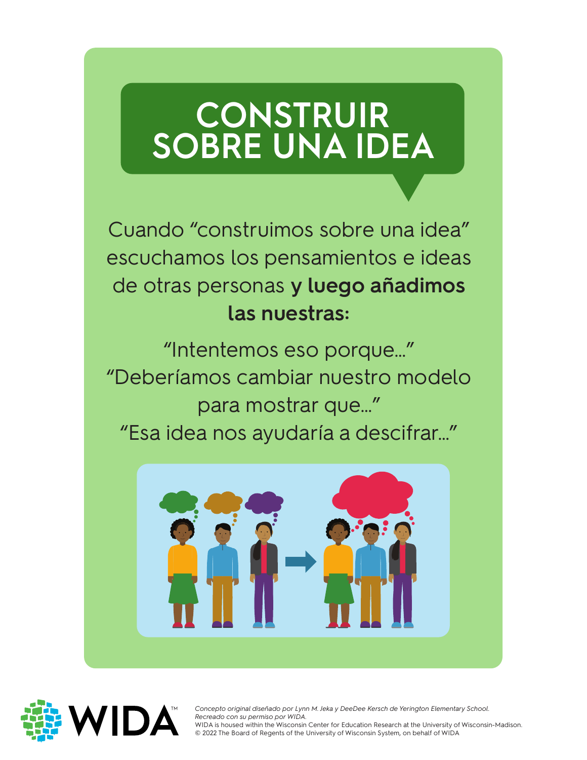### **CONSTRUIR SOBRE UNA IDEA**

Cuando "construimos sobre una idea" escuchamos los pensamientos e ideas de otras personas **y luego añadimos las nuestras:**

"Intentemos eso porque…" "Deberíamos cambiar nuestro modelo para mostrar que…" "Esa idea nos ayudaría a descifrar…"





Concepto original diseñado por Lyni<br>*Recreado con su permiso por WIDA*. *Concepto original diseñado por Lynn M. Jeka y DeeDee Kersch de Yerington Elementary School.*